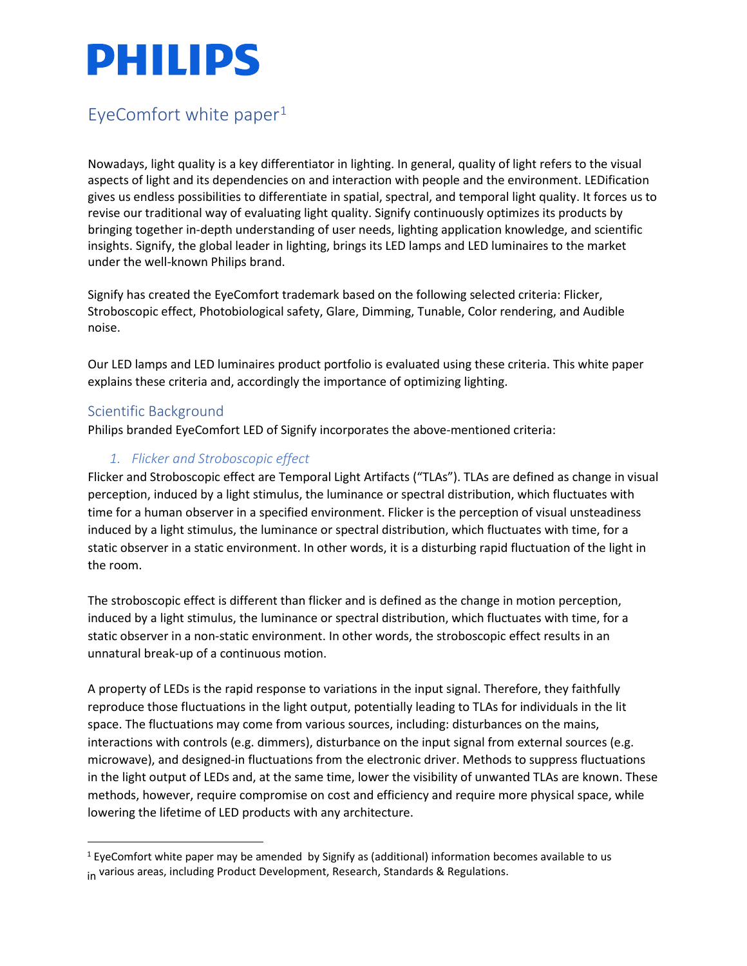### EyeComfort white paper $1$

Nowadays, light quality is a key differentiator in lighting. In general, quality of light refers to the visual aspects of light and its dependencies on and interaction with people and the environment. LEDification gives us endless possibilities to differentiate in spatial, spectral, and temporal light quality. It forces us to revise our traditional way of evaluating light quality. Signify continuously optimizes its products by bringing together in-depth understanding of user needs, lighting application knowledge, and scientific insights. Signify, the global leader in lighting, brings its LED lamps and LED luminaires to the market under the well-known Philips brand.

Signify has created the EyeComfort trademark based on the following selected criteria: Flicker, Stroboscopic effect, Photobiological safety, Glare, Dimming, Tunable, Color rendering, and Audible noise.

Our LED lamps and LED luminaires product portfolio is evaluated using these criteria. This white paper explains these criteria and, accordingly the importance of optimizing lighting.

#### Scientific Background

Philips branded EyeComfort LED of Signify incorporates the above-mentioned criteria:

#### *1. Flicker and Stroboscopic effect*

Flicker and Stroboscopic effect are Temporal Light Artifacts ("TLAs"). TLAs are defined as change in visual perception, induced by a light stimulus, the luminance or spectral distribution, which fluctuates with time for a human observer in a specified environment. Flicker is the perception of visual unsteadiness induced by a light stimulus, the luminance or spectral distribution, which fluctuates with time, for a static observer in a static environment. In other words, it is a disturbing rapid fluctuation of the light in the room.

The stroboscopic effect is different than flicker and is defined as the change in motion perception, induced by a light stimulus, the luminance or spectral distribution, which fluctuates with time, for a static observer in a non-static environment. In other words, the stroboscopic effect results in an unnatural break-up of a continuous motion.

A property of LEDs is the rapid response to variations in the input signal. Therefore, they faithfully reproduce those fluctuations in the light output, potentially leading to TLAs for individuals in the lit space. The fluctuations may come from various sources, including: disturbances on the mains, interactions with controls (e.g. dimmers), disturbance on the input signal from external sources (e.g. microwave), and designed-in fluctuations from the electronic driver. Methods to suppress fluctuations in the light output of LEDs and, at the same time, lower the visibility of unwanted TLAs are known. These methods, however, require compromise on cost and efficiency and require more physical space, while lowering the lifetime of LED products with any architecture.

<span id="page-0-0"></span> $1$  EyeComfort white paper may be amended by Signify as (additional) information becomes available to us in various areas, including Product Development, Research, Standards & Regulations.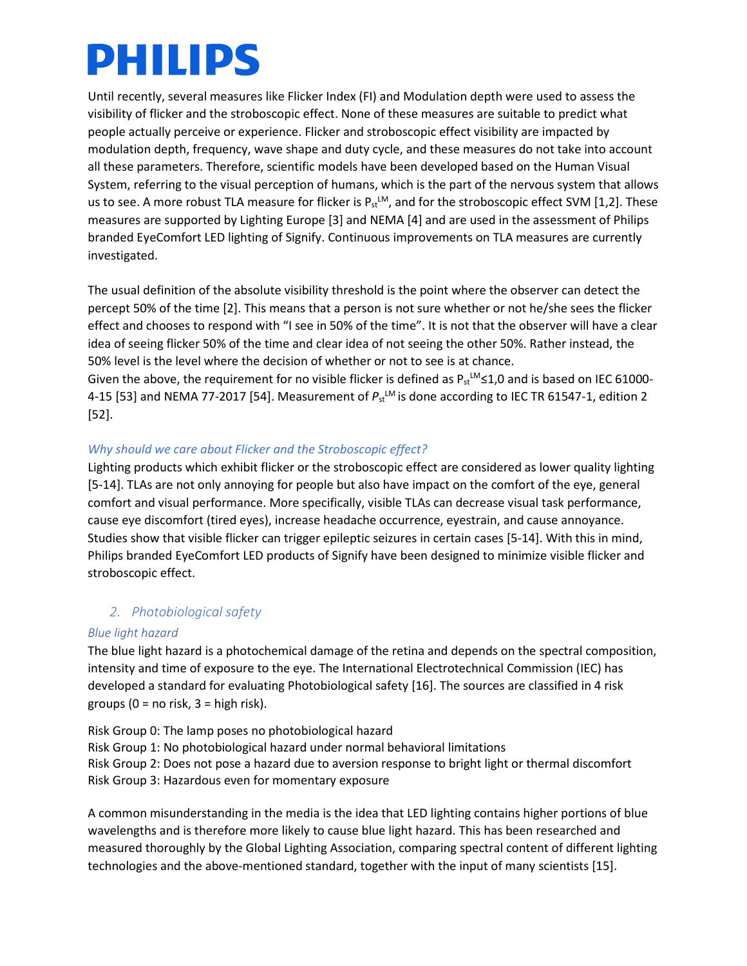Until recently, several measures like Flicker Index (FI) and Modulation depth were used to assess the visibility of flicker and the stroboscopic effect. None of these measures are suitable to predict what people actually perceive or experience. Flicker and stroboscopic effect visibility are impacted by modulation depth, frequency, wave shape and duty cycle, and these measures do not take into account all these parameters. Therefore, scientific models have been developed based on the Human Visual System, referring to the visual perception of humans, which is the part of the nervous system that allows us to see. A more robust TLA measure for flicker is  $P_{st}^{LM}$ , and for the stroboscopic effect SVM [1,2]. These measures are supported by Lighting Europe [3] and NEMA [4] and are used in the assessment of Philips branded EyeComfort LED lighting of Signify. Continuous improvements on TLA measures are currently investigated.

The usual definition of the absolute visibility threshold is the point where the observer can detect the percept 50% of the time [2]. This means that a person is not sure whether or not he/she sees the flicker effect and chooses to respond with "I see in 50% of the time". It is not that the observer will have a clear idea of seeing flicker 50% of the time and clear idea of not seeing the other 50%. Rather instead, the 50% level is the level where the decision of whether or not to see is at chance.

Given the above, the requirement for no visible flicker is defined as  $P_{st}^{LM}$ ≤1,0 and is based on IEC 61000-4-15 [53] and NEMA 77-2017 [54]. Measurement of  $P_{st}$ <sup>LM</sup> is done according to IEC TR 61547-1, edition 2 [52].

#### *Why should we care about Flicker and the Stroboscopic effect?*

Lighting products which exhibit flicker or the stroboscopic effect are considered as lower quality lighting [5-14]. TLAs are not only annoying for people but also have impact on the comfort of the eye, general comfort and visual performance. More specifically, visible TLAs can decrease visual task performance, cause eye discomfort (tired eyes), increase headache occurrence, eyestrain, and cause annoyance. Studies show that visible flicker can trigger epileptic seizures in certain cases [5-14]. With this in mind, Philips branded EyeComfort LED products of Signify have been designed to minimize visible flicker and stroboscopic effect.

#### *2. Photobiological safety*

#### *Blue light hazard*

The blue light hazard is a photochemical damage of the retina and depends on the spectral composition, intensity and time of exposure to the eye. The International Electrotechnical Commission (IEC) has developed a standard for evaluating Photobiological safety [16]. The sources are classified in 4 risk groups ( $0 = no$  risk,  $3 = high$  risk).

Risk Group 0: The lamp poses no photobiological hazard Risk Group 1: No photobiological hazard under normal behavioral limitations Risk Group 2: Does not pose a hazard due to aversion response to bright light or thermal discomfort Risk Group 3: Hazardous even for momentary exposure

A common misunderstanding in the media is the idea that LED lighting contains higher portions of blue wavelengths and is therefore more likely to cause blue light hazard. This has been researched and measured thoroughly by the Global Lighting Association, comparing spectral content of different lighting technologies and the above-mentioned standard, together with the input of many scientists [15].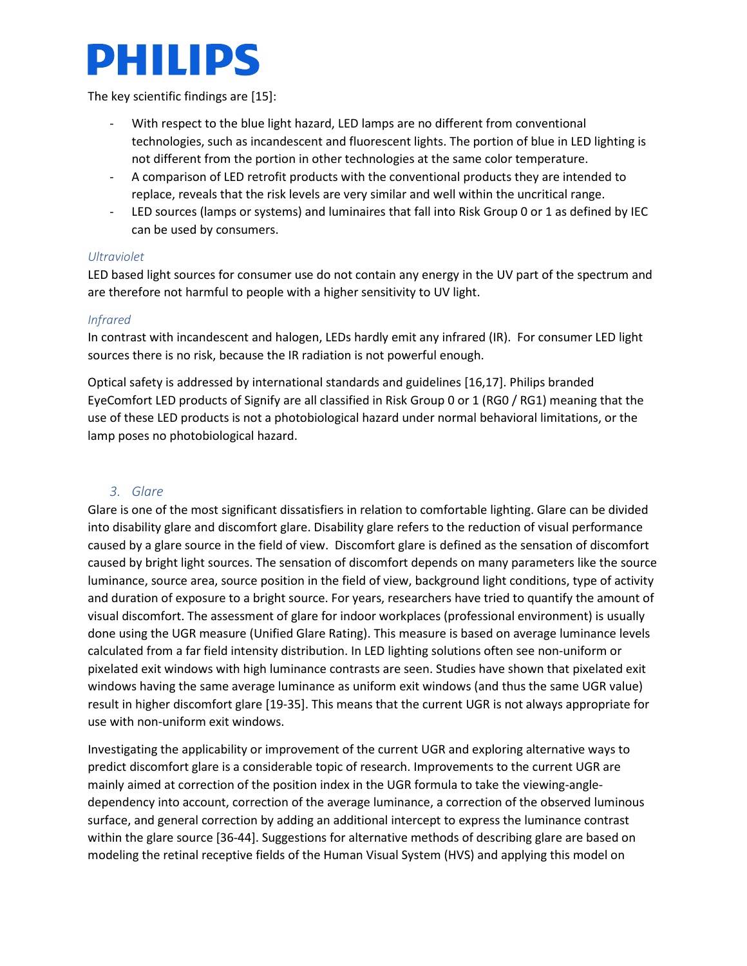

The key scientific findings are [15]:

- With respect to the blue light hazard, LED lamps are no different from conventional technologies, such as incandescent and fluorescent lights. The portion of blue in LED lighting is not different from the portion in other technologies at the same color temperature.
- A comparison of LED retrofit products with the conventional products they are intended to replace, reveals that the risk levels are very similar and well within the uncritical range.
- LED sources (lamps or systems) and luminaires that fall into Risk Group 0 or 1 as defined by IEC can be used by consumers.

#### *Ultraviolet*

LED based light sources for consumer use do not contain any energy in the UV part of the spectrum and are therefore not harmful to people with a higher sensitivity to UV light.

#### *Infrared*

In contrast with incandescent and halogen, LEDs hardly emit any infrared (IR). For consumer LED light sources there is no risk, because the IR radiation is not powerful enough.

Optical safety is addressed by international standards and guidelines [16,17]. Philips branded EyeComfort LED products of Signify are all classified in Risk Group 0 or 1 (RG0 / RG1) meaning that the use of these LED products is not a photobiological hazard under normal behavioral limitations, or the lamp poses no photobiological hazard.

#### *3. Glare*

Glare is one of the most significant dissatisfiers in relation to comfortable lighting. Glare can be divided into disability glare and discomfort glare. Disability glare refers to the reduction of visual performance caused by a glare source in the field of view. Discomfort glare is defined as the sensation of discomfort caused by bright light sources. The sensation of discomfort depends on many parameters like the source luminance, source area, source position in the field of view, background light conditions, type of activity and duration of exposure to a bright source. For years, researchers have tried to quantify the amount of visual discomfort. The assessment of glare for indoor workplaces (professional environment) is usually done using the UGR measure (Unified Glare Rating). This measure is based on average luminance levels calculated from a far field intensity distribution. In LED lighting solutions often see non-uniform or pixelated exit windows with high luminance contrasts are seen. Studies have shown that pixelated exit windows having the same average luminance as uniform exit windows (and thus the same UGR value) result in higher discomfort glare [19-35]. This means that the current UGR is not always appropriate for use with non-uniform exit windows.

Investigating the applicability or improvement of the current UGR and exploring alternative ways to predict discomfort glare is a considerable topic of research. Improvements to the current UGR are mainly aimed at correction of the position index in the UGR formula to take the viewing-angledependency into account, correction of the average luminance, a correction of the observed luminous surface, and general correction by adding an additional intercept to express the luminance contrast within the glare source [36-44]. Suggestions for alternative methods of describing glare are based on modeling the retinal receptive fields of the Human Visual System (HVS) and applying this model on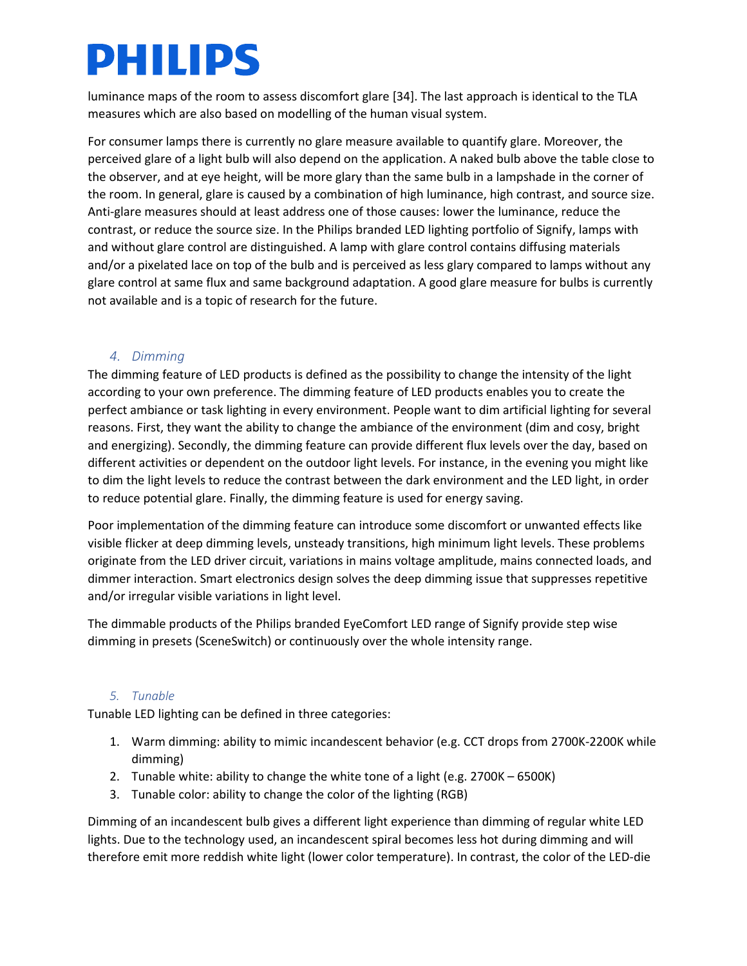luminance maps of the room to assess discomfort glare [34]. The last approach is identical to the TLA measures which are also based on modelling of the human visual system.

For consumer lamps there is currently no glare measure available to quantify glare. Moreover, the perceived glare of a light bulb will also depend on the application. A naked bulb above the table close to the observer, and at eye height, will be more glary than the same bulb in a lampshade in the corner of the room. In general, glare is caused by a combination of high luminance, high contrast, and source size. Anti-glare measures should at least address one of those causes: lower the luminance, reduce the contrast, or reduce the source size. In the Philips branded LED lighting portfolio of Signify, lamps with and without glare control are distinguished. A lamp with glare control contains diffusing materials and/or a pixelated lace on top of the bulb and is perceived as less glary compared to lamps without any glare control at same flux and same background adaptation. A good glare measure for bulbs is currently not available and is a topic of research for the future.

#### *4. Dimming*

The dimming feature of LED products is defined as the possibility to change the intensity of the light according to your own preference. The dimming feature of LED products enables you to create the perfect ambiance or task lighting in every environment. People want to dim artificial lighting for several reasons. First, they want the ability to change the ambiance of the environment (dim and cosy, bright and energizing). Secondly, the dimming feature can provide different flux levels over the day, based on different activities or dependent on the outdoor light levels. For instance, in the evening you might like to dim the light levels to reduce the contrast between the dark environment and the LED light, in order to reduce potential glare. Finally, the dimming feature is used for energy saving.

Poor implementation of the dimming feature can introduce some discomfort or unwanted effects like visible flicker at deep dimming levels, unsteady transitions, high minimum light levels. These problems originate from the LED driver circuit, variations in mains voltage amplitude, mains connected loads, and dimmer interaction. Smart electronics design solves the deep dimming issue that suppresses repetitive and/or irregular visible variations in light level.

The dimmable products of the Philips branded EyeComfort LED range of Signify provide step wise dimming in presets (SceneSwitch) or continuously over the whole intensity range.

#### *5. Tunable*

Tunable LED lighting can be defined in three categories:

- 1. Warm dimming: ability to mimic incandescent behavior (e.g. CCT drops from 2700K-2200K while dimming)
- 2. Tunable white: ability to change the white tone of a light (e.g. 2700K 6500K)
- 3. Tunable color: ability to change the color of the lighting (RGB)

Dimming of an incandescent bulb gives a different light experience than dimming of regular white LED lights. Due to the technology used, an incandescent spiral becomes less hot during dimming and will therefore emit more reddish white light (lower color temperature). In contrast, the color of the LED-die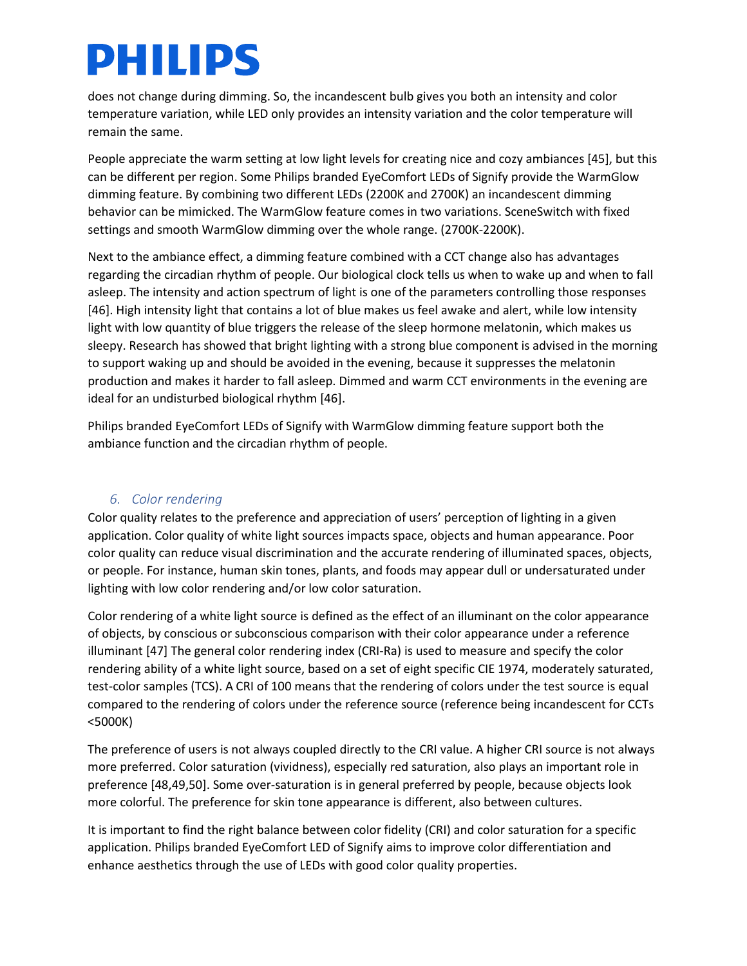does not change during dimming. So, the incandescent bulb gives you both an intensity and color temperature variation, while LED only provides an intensity variation and the color temperature will remain the same.

People appreciate the warm setting at low light levels for creating nice and cozy ambiances [45], but this can be different per region. Some Philips branded EyeComfort LEDs of Signify provide the WarmGlow dimming feature. By combining two different LEDs (2200K and 2700K) an incandescent dimming behavior can be mimicked. The WarmGlow feature comes in two variations. SceneSwitch with fixed settings and smooth WarmGlow dimming over the whole range. (2700K-2200K).

Next to the ambiance effect, a dimming feature combined with a CCT change also has advantages regarding the circadian rhythm of people. Our biological clock tells us when to wake up and when to fall asleep. The intensity and action spectrum of light is one of the parameters controlling those responses [46]. High intensity light that contains a lot of blue makes us feel awake and alert, while low intensity light with low quantity of blue triggers the release of the sleep hormone melatonin, which makes us sleepy. Research has showed that bright lighting with a strong blue component is advised in the morning to support waking up and should be avoided in the evening, because it suppresses the melatonin production and makes it harder to fall asleep. Dimmed and warm CCT environments in the evening are ideal for an undisturbed biological rhythm [46].

Philips branded EyeComfort LEDs of Signify with WarmGlow dimming feature support both the ambiance function and the circadian rhythm of people.

#### *6. Color rendering*

Color quality relates to the preference and appreciation of users' perception of lighting in a given application. Color quality of white light sources impacts space, objects and human appearance. Poor color quality can reduce visual discrimination and the accurate rendering of illuminated spaces, objects, or people. For instance, human skin tones, plants, and foods may appear dull or undersaturated under lighting with low color rendering and/or low color saturation.

Color rendering of a white light source is defined as the effect of an illuminant on the color appearance of objects, by conscious or subconscious comparison with their color appearance under a reference illuminant [47] The general color rendering index (CRI-Ra) is used to measure and specify the color rendering ability of a white light source, based on a set of eight specific CIE 1974, moderately saturated, test-color samples (TCS). A CRI of 100 means that the rendering of colors under the test source is equal compared to the rendering of colors under the reference source (reference being incandescent for CCTs <5000K)

The preference of users is not always coupled directly to the CRI value. A higher CRI source is not always more preferred. Color saturation (vividness), especially red saturation, also plays an important role in preference [48,49,50]. Some over-saturation is in general preferred by people, because objects look more colorful. The preference for skin tone appearance is different, also between cultures.

It is important to find the right balance between color fidelity (CRI) and color saturation for a specific application. Philips branded EyeComfort LED of Signify aims to improve color differentiation and enhance aesthetics through the use of LEDs with good color quality properties.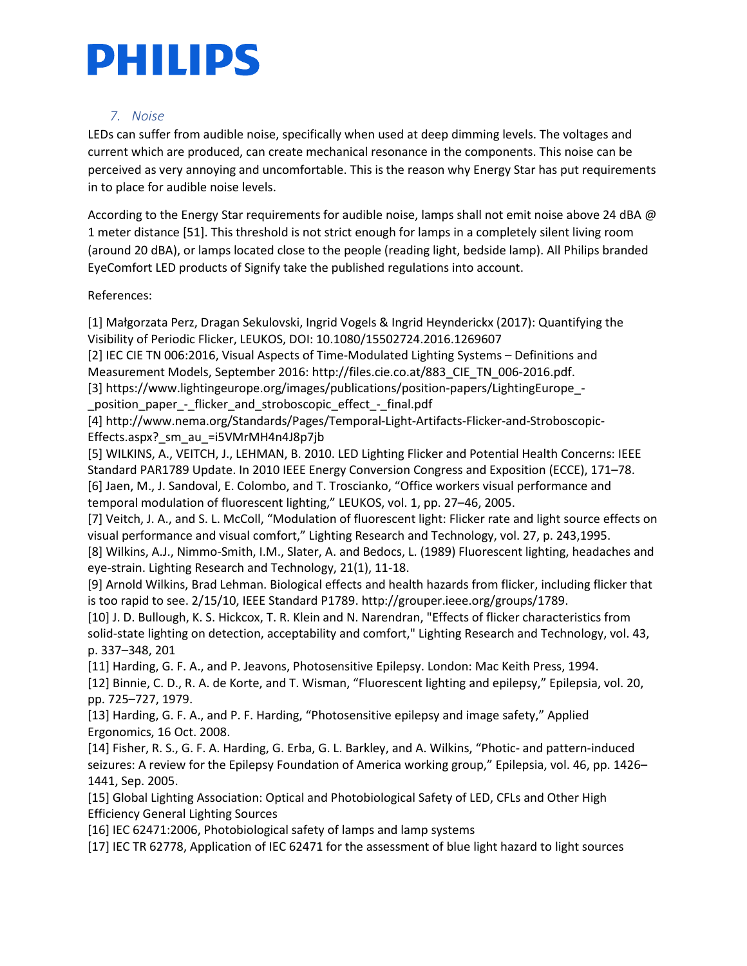#### *7. Noise*

LEDs can suffer from audible noise, specifically when used at deep dimming levels. The voltages and current which are produced, can create mechanical resonance in the components. This noise can be perceived as very annoying and uncomfortable. This is the reason why Energy Star has put requirements in to place for audible noise levels.

According to the Energy Star requirements for audible noise, lamps shall not emit noise above 24 dBA @ 1 meter distance [51]. This threshold is not strict enough for lamps in a completely silent living room (around 20 dBA), or lamps located close to the people (reading light, bedside lamp). All Philips branded EyeComfort LED products of Signify take the published regulations into account.

References:

[1] Małgorzata Perz, Dragan Sekulovski, Ingrid Vogels & Ingrid Heynderickx (2017): Quantifying the Visibility of Periodic Flicker, LEUKOS, DOI: 10.1080/15502724.2016.1269607

[2] IEC CIE TN 006:2016, Visual Aspects of Time-Modulated Lighting Systems – Definitions and Measurement Models, September 2016: http://files.cie.co.at/883\_CIE\_TN\_006-2016.pdf.

[3] [https://www.lightingeurope.org/images/publications/position-papers/LightingEurope\\_-](https://www.lightingeurope.org/images/publications/position-papers/LightingEurope_-_position_paper_-_flicker_and_stroboscopic_effect_-_final.pdf)

[\\_position\\_paper\\_-\\_flicker\\_and\\_stroboscopic\\_effect\\_-\\_final.pdf](https://www.lightingeurope.org/images/publications/position-papers/LightingEurope_-_position_paper_-_flicker_and_stroboscopic_effect_-_final.pdf)

[4] [http://www.nema.org/Standards/Pages/Temporal-Light-Artifacts-Flicker-and-Stroboscopic-](http://www.nema.org/Standards/Pages/Temporal-Light-Artifacts-Flicker-and-Stroboscopic-Effects.aspx?_sm_au_=i5VMrMH4n4J8p7jb)Effects.aspx? sm\_au =i5VMrMH4n4J8p7jb

[5] WILKINS, A., VEITCH, J., LEHMAN, B. 2010. LED Lighting Flicker and Potential Health Concerns: IEEE Standard PAR1789 Update. In 2010 IEEE Energy Conversion Congress and Exposition (ECCE), 171–78. [6] Jaen, M., J. Sandoval, E. Colombo, and T. Troscianko, "Office workers visual performance and temporal modulation of fluorescent lighting," LEUKOS, vol. 1, pp. 27–46, 2005.

[7] Veitch, J. A., and S. L. McColl, "Modulation of fluorescent light: Flicker rate and light source effects on visual performance and visual comfort," Lighting Research and Technology, vol. 27, p. 243,1995.

[8] Wilkins, A.J., Nimmo-Smith, I.M., Slater, A. and Bedocs, L. (1989) Fluorescent lighting, headaches and eye-strain. Lighting Research and Technology, 21(1), 11-18.

[9] Arnold Wilkins, Brad Lehman. Biological effects and health hazards from flicker, including flicker that is too rapid to see. 2/15/10, IEEE Standard P1789. [http://grouper.ieee.org/groups/1789.](http://grouper.ieee.org/groups/1789)

[10] J. D. Bullough, K. S. Hickcox, T. R. Klein and N. Narendran, "Effects of flicker characteristics from solid-state lighting on detection, acceptability and comfort," Lighting Research and Technology, vol. 43, p. 337–348, 201

[11] Harding, G. F. A., and P. Jeavons, Photosensitive Epilepsy. London: Mac Keith Press, 1994.

[12] Binnie, C. D., R. A. de Korte, and T. Wisman, "Fluorescent lighting and epilepsy," Epilepsia, vol. 20, pp. 725–727, 1979.

[13] Harding, G. F. A., and P. F. Harding, "Photosensitive epilepsy and image safety," Applied Ergonomics, 16 Oct. 2008.

[14] Fisher, R. S., G. F. A. Harding, G. Erba, G. L. Barkley, and A. Wilkins, "Photic- and pattern-induced seizures: A review for the Epilepsy Foundation of America working group," Epilepsia, vol. 46, pp. 1426– 1441, Sep. 2005.

[15] Global Lighting Association: Optical and Photobiological Safety of LED, CFLs and Other High Efficiency General Lighting Sources

[16] IEC 62471:2006, Photobiological safety of lamps and lamp systems

[17] IEC TR 62778, Application of IEC 62471 for the assessment of blue light hazard to light sources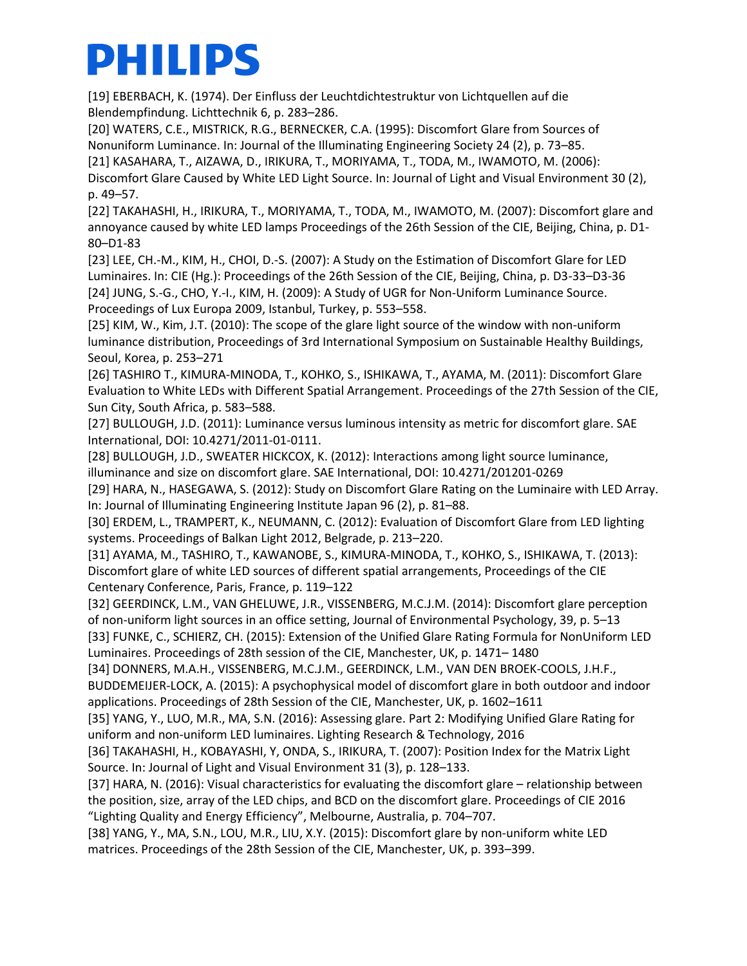[19] EBERBACH, K. (1974). Der Einfluss der Leuchtdichtestruktur von Lichtquellen auf die Blendempfindung. Lichttechnik 6, p. 283–286.

[20] WATERS, C.E., MISTRICK, R.G., BERNECKER, C.A. (1995): Discomfort Glare from Sources of Nonuniform Luminance. In: Journal of the Illuminating Engineering Society 24 (2), p. 73–85.

[21] KASAHARA, T., AIZAWA, D., IRIKURA, T., MORIYAMA, T., TODA, M., IWAMOTO, M. (2006):

Discomfort Glare Caused by White LED Light Source. In: Journal of Light and Visual Environment 30 (2), p. 49–57.

[22] TAKAHASHI, H., IRIKURA, T., MORIYAMA, T., TODA, M., IWAMOTO, M. (2007): Discomfort glare and annoyance caused by white LED lamps Proceedings of the 26th Session of the CIE, Beijing, China, p. D1- 80–D1-83

[23] LEE, CH.-M., KIM, H., CHOI, D.-S. (2007): A Study on the Estimation of Discomfort Glare for LED Luminaires. In: CIE (Hg.): Proceedings of the 26th Session of the CIE, Beijing, China, p. D3-33–D3-36 [24] JUNG, S.-G., CHO, Y.-I., KIM, H. (2009): A Study of UGR for Non-Uniform Luminance Source. Proceedings of Lux Europa 2009, Istanbul, Turkey, p. 553–558.

[25] KIM, W., Kim, J.T. (2010): The scope of the glare light source of the window with non-uniform luminance distribution, Proceedings of 3rd International Symposium on Sustainable Healthy Buildings, Seoul, Korea, p. 253–271

[26] TASHIRO T., KIMURA-MINODA, T., KOHKO, S., ISHIKAWA, T., AYAMA, M. (2011): Discomfort Glare Evaluation to White LEDs with Different Spatial Arrangement. Proceedings of the 27th Session of the CIE, Sun City, South Africa, p. 583–588.

[27] BULLOUGH, J.D. (2011): Luminance versus luminous intensity as metric for discomfort glare. SAE International, DOI: 10.4271/2011-01-0111.

[28] BULLOUGH, J.D., SWEATER HICKCOX, K. (2012): Interactions among light source luminance, illuminance and size on discomfort glare. SAE International, DOI: 10.4271/201201-0269

[29] HARA, N., HASEGAWA, S. (2012): Study on Discomfort Glare Rating on the Luminaire with LED Array. In: Journal of Illuminating Engineering Institute Japan 96 (2), p. 81–88.

[30] ERDEM, L., TRAMPERT, K., NEUMANN, C. (2012): Evaluation of Discomfort Glare from LED lighting systems. Proceedings of Balkan Light 2012, Belgrade, p. 213–220.

[31] AYAMA, M., TASHIRO, T., KAWANOBE, S., KIMURA-MINODA, T., KOHKO, S., ISHIKAWA, T. (2013): Discomfort glare of white LED sources of different spatial arrangements, Proceedings of the CIE Centenary Conference, Paris, France, p. 119–122

[32] GEERDINCK, L.M., VAN GHELUWE, J.R., VISSENBERG, M.C.J.M. (2014): Discomfort glare perception of non-uniform light sources in an office setting, Journal of Environmental Psychology, 39, p. 5–13 [33] FUNKE, C., SCHIERZ, CH. (2015): Extension of the Unified Glare Rating Formula for NonUniform LED

Luminaires. Proceedings of 28th session of the CIE, Manchester, UK, p. 1471– 1480

[34] DONNERS, M.A.H., VISSENBERG, M.C.J.M., GEERDINCK, L.M., VAN DEN BROEK-COOLS, J.H.F., BUDDEMEIJER-LOCK, A. (2015): A psychophysical model of discomfort glare in both outdoor and indoor applications. Proceedings of 28th Session of the CIE, Manchester, UK, p. 1602–1611

[35] YANG, Y., LUO, M.R., MA, S.N. (2016): Assessing glare. Part 2: Modifying Unified Glare Rating for uniform and non-uniform LED luminaires. Lighting Research & Technology, 2016

[36] TAKAHASHI, H., KOBAYASHI, Y, ONDA, S., IRIKURA, T. (2007): Position Index for the Matrix Light Source. In: Journal of Light and Visual Environment 31 (3), p. 128–133.

[37] HARA, N. (2016): Visual characteristics for evaluating the discomfort glare – relationship between the position, size, array of the LED chips, and BCD on the discomfort glare. Proceedings of CIE 2016 "Lighting Quality and Energy Efficiency", Melbourne, Australia, p. 704–707.

[38] YANG, Y., MA, S.N., LOU, M.R., LIU, X.Y. (2015): Discomfort glare by non-uniform white LED matrices. Proceedings of the 28th Session of the CIE, Manchester, UK, p. 393–399.